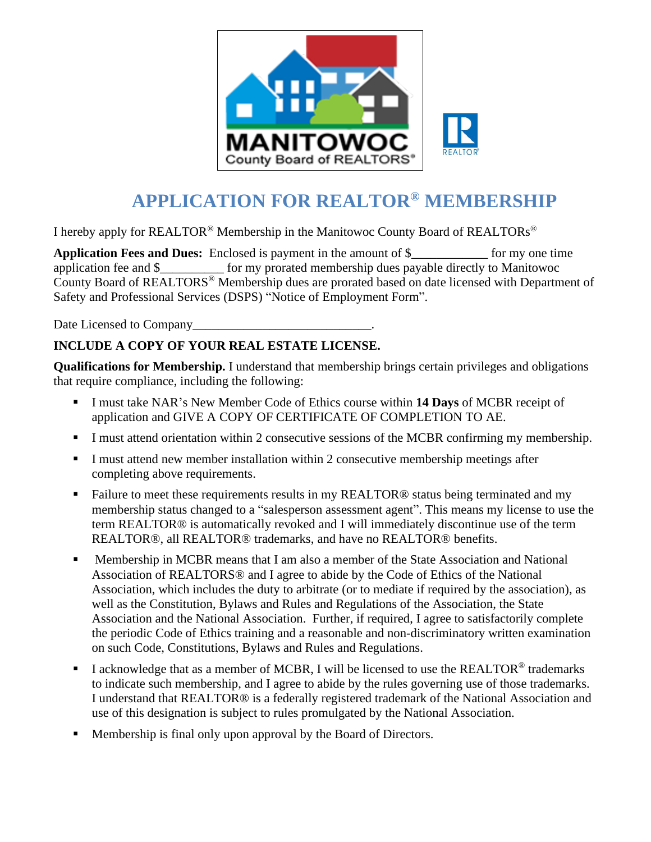

## **APPLICATION FOR REALTOR® MEMBERSHIP**

I hereby apply for REALTOR® Membership in the Manitowoc County Board of REALTORs®

**Application Fees and Dues:** Enclosed is payment in the amount of \$\_\_\_\_\_\_\_\_\_\_\_\_ for my one time application fee and \$\_\_\_\_\_\_\_\_\_\_ for my prorated membership dues payable directly to Manitowoc County Board of REALTORS® Membership dues are prorated based on date licensed with Department of Safety and Professional Services (DSPS) "Notice of Employment Form".

Date Licensed to Company\_\_\_\_\_\_\_\_\_\_\_\_\_\_\_\_\_\_\_\_\_\_\_\_\_\_\_\_.

## **INCLUDE A COPY OF YOUR REAL ESTATE LICENSE.**

**Qualifications for Membership.** I understand that membership brings certain privileges and obligations that require compliance, including the following:

- I must take NAR's New Member Code of Ethics course within **14 Days** of MCBR receipt of application and GIVE A COPY OF CERTIFICATE OF COMPLETION TO AE.
- I must attend orientation within 2 consecutive sessions of the MCBR confirming my membership.
- **I** must attend new member installation within 2 consecutive membership meetings after completing above requirements.
- Failure to meet these requirements results in my REALTOR<sup>®</sup> status being terminated and my membership status changed to a "salesperson assessment agent". This means my license to use the term REALTOR® is automatically revoked and I will immediately discontinue use of the term REALTOR®, all REALTOR® trademarks, and have no REALTOR® benefits.
- **Membership in MCBR means that I am also a member of the State Association and National** Association of REALTORS® and I agree to abide by the Code of Ethics of the National Association, which includes the duty to arbitrate (or to mediate if required by the association), as well as the Constitution, Bylaws and Rules and Regulations of the Association, the State Association and the National Association. Further, if required, I agree to satisfactorily complete the periodic Code of Ethics training and a reasonable and non-discriminatory written examination on such Code, Constitutions, Bylaws and Rules and Regulations.
- $\blacksquare$  I acknowledge that as a member of MCBR, I will be licensed to use the REALTOR<sup>®</sup> trademarks to indicate such membership, and I agree to abide by the rules governing use of those trademarks. I understand that REALTOR® is a federally registered trademark of the National Association and use of this designation is subject to rules promulgated by the National Association.
- Membership is final only upon approval by the Board of Directors.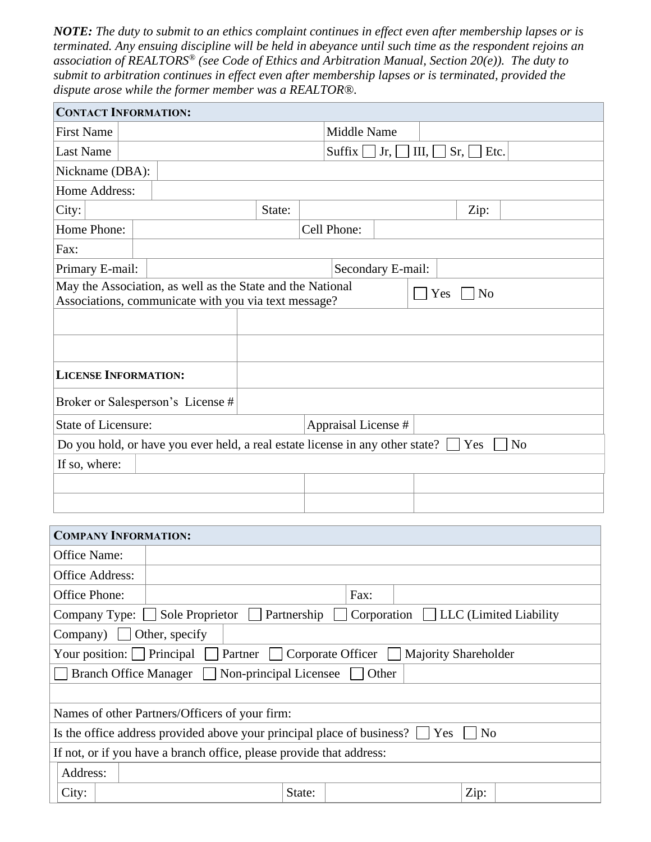*NOTE: The duty to submit to an ethics complaint continues in effect even after membership lapses or is terminated. Any ensuing discipline will be held in abeyance until such time as the respondent rejoins an association of REALTORS® (see Code of Ethics and Arbitration Manual, Section 20(e)). The duty to submit to arbitration continues in effect even after membership lapses or is terminated, provided the dispute arose while the former member was a REALTOR®.* 

| <b>CONTACT INFORMATION:</b>                                                                                                                 |                                   |        |                     |                                                     |  |  |      |  |
|---------------------------------------------------------------------------------------------------------------------------------------------|-----------------------------------|--------|---------------------|-----------------------------------------------------|--|--|------|--|
| <b>First Name</b>                                                                                                                           |                                   |        |                     | Middle Name                                         |  |  |      |  |
| <b>Last Name</b>                                                                                                                            |                                   |        |                     | Suffix $\vert$<br>$Jr, \Box$<br>III,<br>Etc.<br>Sr, |  |  |      |  |
| Nickname (DBA):                                                                                                                             |                                   |        |                     |                                                     |  |  |      |  |
| Home Address:                                                                                                                               |                                   |        |                     |                                                     |  |  |      |  |
| City:                                                                                                                                       |                                   | State: |                     |                                                     |  |  | Zip: |  |
| Home Phone:                                                                                                                                 |                                   |        |                     | Cell Phone:                                         |  |  |      |  |
| Fax:                                                                                                                                        |                                   |        |                     |                                                     |  |  |      |  |
| Primary E-mail:                                                                                                                             |                                   |        |                     | Secondary E-mail:                                   |  |  |      |  |
| May the Association, as well as the State and the National<br>Yes<br>N <sub>o</sub><br>Associations, communicate with you via text message? |                                   |        |                     |                                                     |  |  |      |  |
|                                                                                                                                             |                                   |        |                     |                                                     |  |  |      |  |
|                                                                                                                                             |                                   |        |                     |                                                     |  |  |      |  |
| <b>LICENSE INFORMATION:</b>                                                                                                                 |                                   |        |                     |                                                     |  |  |      |  |
|                                                                                                                                             | Broker or Salesperson's License # |        |                     |                                                     |  |  |      |  |
| <b>State of Licensure:</b>                                                                                                                  |                                   |        | Appraisal License # |                                                     |  |  |      |  |
| Do you hold, or have you ever held, a real estate license in any other state? [<br>N <sub>0</sub><br>Yes                                    |                                   |        |                     |                                                     |  |  |      |  |
| If so, where:                                                                                                                               |                                   |        |                     |                                                     |  |  |      |  |
|                                                                                                                                             |                                   |        |                     |                                                     |  |  |      |  |
|                                                                                                                                             |                                   |        |                     |                                                     |  |  |      |  |

| <b>COMPANY INFORMATION:</b>                                                                         |                |        |      |  |      |  |
|-----------------------------------------------------------------------------------------------------|----------------|--------|------|--|------|--|
| Office Name:                                                                                        |                |        |      |  |      |  |
| <b>Office Address:</b>                                                                              |                |        |      |  |      |  |
| Office Phone:                                                                                       |                |        | Fax: |  |      |  |
| <b>LLC</b> (Limited Liability<br>Sole Proprietor<br>Partnership<br>Corporation<br>Company Type:     |                |        |      |  |      |  |
| $Company)$                                                                                          | Other, specify |        |      |  |      |  |
| Partner<br>Corporate Officer $\Box$<br>Your position:  <br>Principal<br><b>Majority Shareholder</b> |                |        |      |  |      |  |
| Non-principal Licensee<br><b>Branch Office Manager</b><br>Other                                     |                |        |      |  |      |  |
|                                                                                                     |                |        |      |  |      |  |
| Names of other Partners/Officers of your firm:                                                      |                |        |      |  |      |  |
| N <sub>o</sub><br>Is the office address provided above your principal place of business?<br>Yes     |                |        |      |  |      |  |
| If not, or if you have a branch office, please provide that address:                                |                |        |      |  |      |  |
| Address:                                                                                            |                |        |      |  |      |  |
| City:                                                                                               |                | State: |      |  | Zip: |  |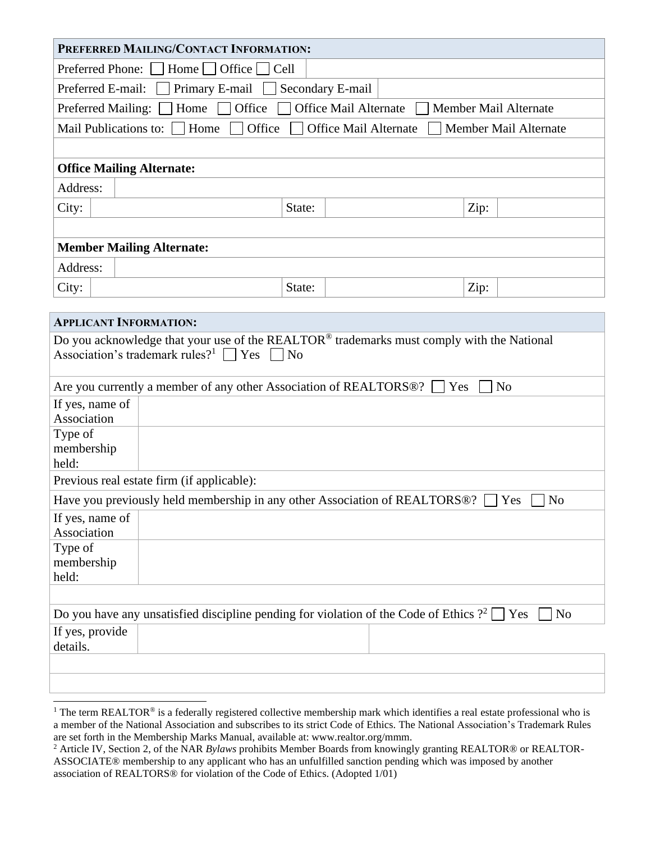| PREFERRED MAILING/CONTACT INFORMATION:                                                                                     |  |  |  |  |  |
|----------------------------------------------------------------------------------------------------------------------------|--|--|--|--|--|
| Preferred Phone:<br>Home $\Box$ Office<br>Cell                                                                             |  |  |  |  |  |
| Primary E-mail Secondary E-mail<br>Preferred E-mail:                                                                       |  |  |  |  |  |
| Office<br><b>Office Mail Alternate</b><br>Home<br>Preferred Mailing:<br>Member Mail Alternate                              |  |  |  |  |  |
| Mail Publications to:<br>Home<br>Office<br><b>Office Mail Alternate</b><br>Member Mail Alternate                           |  |  |  |  |  |
|                                                                                                                            |  |  |  |  |  |
| <b>Office Mailing Alternate:</b>                                                                                           |  |  |  |  |  |
| Address:                                                                                                                   |  |  |  |  |  |
| City:<br>State:<br>Zip:                                                                                                    |  |  |  |  |  |
|                                                                                                                            |  |  |  |  |  |
| <b>Member Mailing Alternate:</b>                                                                                           |  |  |  |  |  |
| Address:                                                                                                                   |  |  |  |  |  |
| City:<br>State:<br>Zip:                                                                                                    |  |  |  |  |  |
| <b>APPLICANT INFORMATION:</b>                                                                                              |  |  |  |  |  |
| Do you acknowledge that your use of the REALTOR® trademarks must comply with the National                                  |  |  |  |  |  |
| Association's trademark rules? <sup>1</sup> $\Box$ Yes<br>$\Box$ No                                                        |  |  |  |  |  |
|                                                                                                                            |  |  |  |  |  |
| Are you currently a member of any other Association of REALTORS <sup>®</sup> ?<br>N <sub>o</sub><br>Yes<br>If yes, name of |  |  |  |  |  |
| Association                                                                                                                |  |  |  |  |  |
| Type of                                                                                                                    |  |  |  |  |  |
| membership<br>held:                                                                                                        |  |  |  |  |  |
| Previous real estate firm (if applicable):                                                                                 |  |  |  |  |  |
| Have you previously held membership in any other Association of REALTORS®?<br>Yes<br>N <sub>0</sub>                        |  |  |  |  |  |
| If yes, name of                                                                                                            |  |  |  |  |  |
| Association<br>Type of                                                                                                     |  |  |  |  |  |
| membership                                                                                                                 |  |  |  |  |  |
| held:                                                                                                                      |  |  |  |  |  |
|                                                                                                                            |  |  |  |  |  |
| N <sub>o</sub><br>Yes                                                                                                      |  |  |  |  |  |
|                                                                                                                            |  |  |  |  |  |
|                                                                                                                            |  |  |  |  |  |
|                                                                                                                            |  |  |  |  |  |
| Do you have any unsatisfied discipline pending for violation of the Code of Ethics $?^2$<br>If yes, provide<br>details.    |  |  |  |  |  |

<sup>&</sup>lt;sup>1</sup> The term REALTOR<sup>®</sup> is a federally registered collective membership mark which identifies a real estate professional who is a member of the National Association and subscribes to its strict Code of Ethics. The National Association's Trademark Rules are set forth in the Membership Marks Manual, available at: www.realtor.org/mmm.

<sup>&</sup>lt;sup>2</sup> Article IV, Section 2, of the NAR *Bylaws* prohibits Member Boards from knowingly granting REALTOR® or REALTOR-ASSOCIATE® membership to any applicant who has an unfulfilled sanction pending which was imposed by another association of REALTORS® for violation of the Code of Ethics. (Adopted 1/01)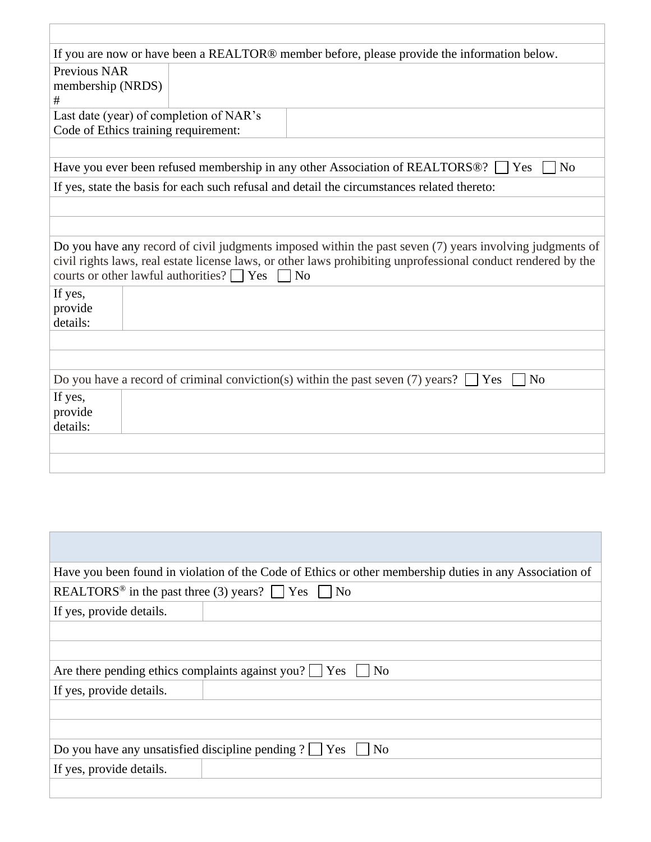| If you are now or have been a REALTOR® member before, please provide the information below.                                                                                                                                                                                           |
|---------------------------------------------------------------------------------------------------------------------------------------------------------------------------------------------------------------------------------------------------------------------------------------|
| <b>Previous NAR</b>                                                                                                                                                                                                                                                                   |
| membership (NRDS)                                                                                                                                                                                                                                                                     |
| #                                                                                                                                                                                                                                                                                     |
| Last date (year) of completion of NAR's                                                                                                                                                                                                                                               |
| Code of Ethics training requirement:                                                                                                                                                                                                                                                  |
|                                                                                                                                                                                                                                                                                       |
| N <sub>o</sub><br>Have you ever been refused membership in any other Association of REALTORS®?<br>Yes                                                                                                                                                                                 |
| If yes, state the basis for each such refusal and detail the circumstances related thereto:                                                                                                                                                                                           |
|                                                                                                                                                                                                                                                                                       |
|                                                                                                                                                                                                                                                                                       |
| Do you have any record of civil judgments imposed within the past seven (7) years involving judgments of<br>civil rights laws, real estate license laws, or other laws prohibiting unprofessional conduct rendered by the<br>courts or other lawful authorities? $\Box$ Yes $\Box$ No |
| If yes,<br>provide<br>details:                                                                                                                                                                                                                                                        |
|                                                                                                                                                                                                                                                                                       |
|                                                                                                                                                                                                                                                                                       |
| Do you have a record of criminal conviction(s) within the past seven (7) years?<br>N <sub>o</sub><br>Yes                                                                                                                                                                              |
| If yes,                                                                                                                                                                                                                                                                               |
| provide                                                                                                                                                                                                                                                                               |
| details:                                                                                                                                                                                                                                                                              |
|                                                                                                                                                                                                                                                                                       |
|                                                                                                                                                                                                                                                                                       |

| Have you been found in violation of the Code of Ethics or other membership duties in any Association of |  |  |  |  |
|---------------------------------------------------------------------------------------------------------|--|--|--|--|
| REALTORS <sup>®</sup> in the past three (3) years? $\Box$ Yes $\Box$ No                                 |  |  |  |  |
| If yes, provide details.                                                                                |  |  |  |  |
|                                                                                                         |  |  |  |  |
|                                                                                                         |  |  |  |  |
| Are there pending ethics complaints against you? $\Box$ Yes $\Box$<br>N <sub>0</sub>                    |  |  |  |  |
| If yes, provide details.                                                                                |  |  |  |  |
|                                                                                                         |  |  |  |  |
|                                                                                                         |  |  |  |  |
| Do you have any unsatisfied discipline pending ? $\Box$ Yes $\Box$ No                                   |  |  |  |  |
| If yes, provide details.                                                                                |  |  |  |  |
|                                                                                                         |  |  |  |  |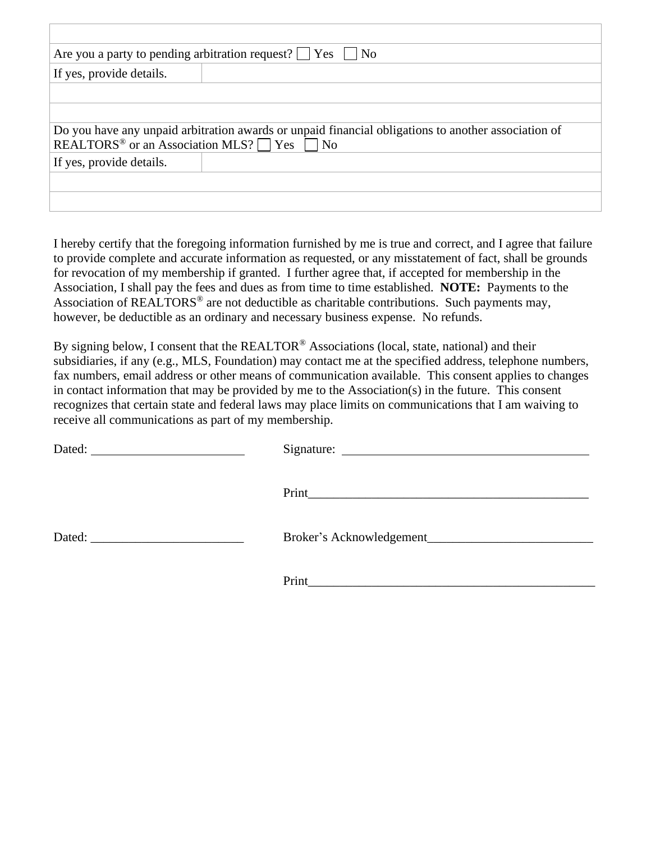|                                                                                                                                                                          | Are you a party to pending arbitration request? $\Box$ Yes $\Box$ No |  |  |  |
|--------------------------------------------------------------------------------------------------------------------------------------------------------------------------|----------------------------------------------------------------------|--|--|--|
| If yes, provide details.                                                                                                                                                 |                                                                      |  |  |  |
|                                                                                                                                                                          |                                                                      |  |  |  |
|                                                                                                                                                                          |                                                                      |  |  |  |
| Do you have any unpaid arbitration awards or unpaid financial obligations to another association of<br>REALTORS <sup>®</sup> or an Association MLS? $\Box$ Yes $\Box$ No |                                                                      |  |  |  |
| If yes, provide details.                                                                                                                                                 |                                                                      |  |  |  |
|                                                                                                                                                                          |                                                                      |  |  |  |
|                                                                                                                                                                          |                                                                      |  |  |  |

I hereby certify that the foregoing information furnished by me is true and correct, and I agree that failure to provide complete and accurate information as requested, or any misstatement of fact, shall be grounds for revocation of my membership if granted. I further agree that, if accepted for membership in the Association, I shall pay the fees and dues as from time to time established. **NOTE:** Payments to the Association of REALTORS<sup>®</sup> are not deductible as charitable contributions. Such payments may, however, be deductible as an ordinary and necessary business expense. No refunds.

By signing below, I consent that the REALTOR<sup>®</sup> Associations (local, state, national) and their subsidiaries, if any (e.g., MLS, Foundation) may contact me at the specified address, telephone numbers, fax numbers, email address or other means of communication available. This consent applies to changes in contact information that may be provided by me to the Association(s) in the future. This consent recognizes that certain state and federal laws may place limits on communications that I am waiving to receive all communications as part of my membership.

| Dated:<br><u> 1980 - Andrea Station Barbara, amerikan per</u>                                                                                                                                                                  |       |
|--------------------------------------------------------------------------------------------------------------------------------------------------------------------------------------------------------------------------------|-------|
|                                                                                                                                                                                                                                |       |
| Dated: The contract of the contract of the contract of the contract of the contract of the contract of the contract of the contract of the contract of the contract of the contract of the contract of the contract of the con |       |
|                                                                                                                                                                                                                                | Print |